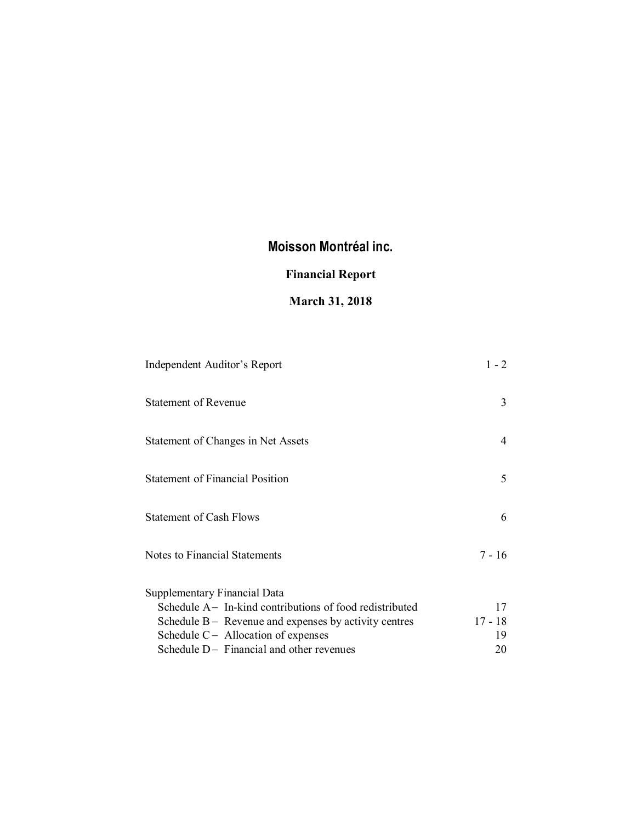# **Financial Report**

# **March 31, 2018**

| Independent Auditor's Report                             | $1 - 2$   |
|----------------------------------------------------------|-----------|
| <b>Statement of Revenue</b>                              | 3         |
| Statement of Changes in Net Assets                       | 4         |
| <b>Statement of Financial Position</b>                   | 5         |
| <b>Statement of Cash Flows</b>                           | 6         |
| Notes to Financial Statements                            | 7 - 16    |
| <b>Supplementary Financial Data</b>                      |           |
| Schedule A – In-kind contributions of food redistributed | 17        |
| Schedule $B -$ Revenue and expenses by activity centres  | $17 - 18$ |
| Schedule $C -$ Allocation of expenses                    | 19        |
| Schedule $D-$ Financial and other revenues               | 20        |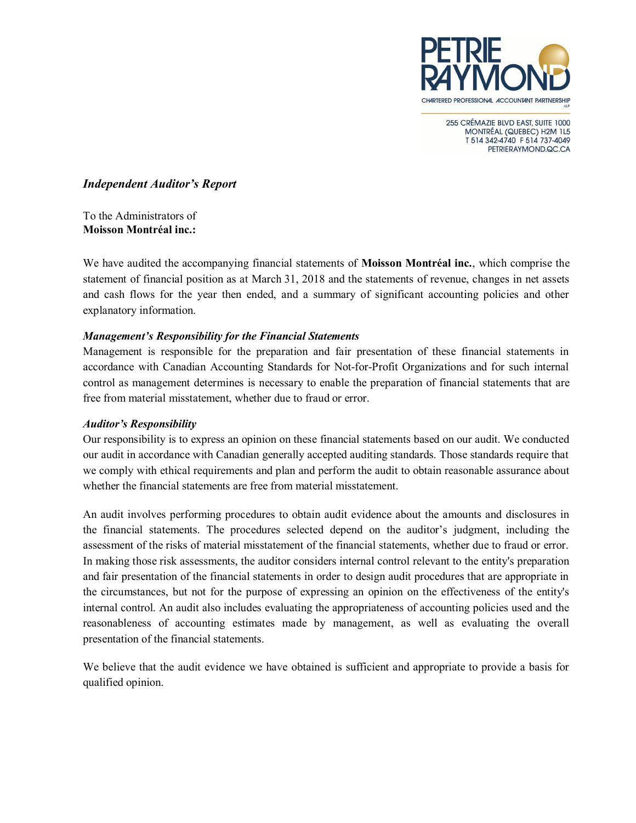

255 CRÉMAZIE BLVD EAST, SUITE 1000 MONTRÉAL (QUEBEC) H2M 1L5 T 514 342-4740 F 514 737-4049 PETRIERAYMOND.QC.CA

# *Independent Auditor's Report*

To the Administrators of **Moisson Montréal inc.:**

We have audited the accompanying financial statements of **Moisson Montréal inc.**, which comprise the statement of financial position as at March 31, 2018 and the statements of revenue, changes in net assets and cash flows for the year then ended, and a summary of significant accounting policies and other explanatory information.

# *Management's Responsibility for the Financial Statements*

Management is responsible for the preparation and fair presentation of these financial statements in accordance with Canadian Accounting Standards for Not-for-Profit Organizations and for such internal control as management determines is necessary to enable the preparation of financial statements that are free from material misstatement, whether due to fraud or error.

# *Auditor's Responsibility*

Our responsibility is to express an opinion on these financial statements based on our audit. We conducted our audit in accordance with Canadian generally accepted auditing standards. Those standards require that we comply with ethical requirements and plan and perform the audit to obtain reasonable assurance about whether the financial statements are free from material misstatement.

An audit involves performing procedures to obtain audit evidence about the amounts and disclosures in the financial statements. The procedures selected depend on the auditor's judgment, including the assessment of the risks of material misstatement of the financial statements, whether due to fraud or error. In making those risk assessments, the auditor considers internal control relevant to the entity's preparation and fair presentation of the financial statements in order to design audit procedures that are appropriate in the circumstances, but not for the purpose of expressing an opinion on the effectiveness of the entity's internal control. An audit also includes evaluating the appropriateness of accounting policies used and the reasonableness of accounting estimates made by management, as well as evaluating the overall presentation of the financial statements.

We believe that the audit evidence we have obtained is sufficient and appropriate to provide a basis for qualified opinion.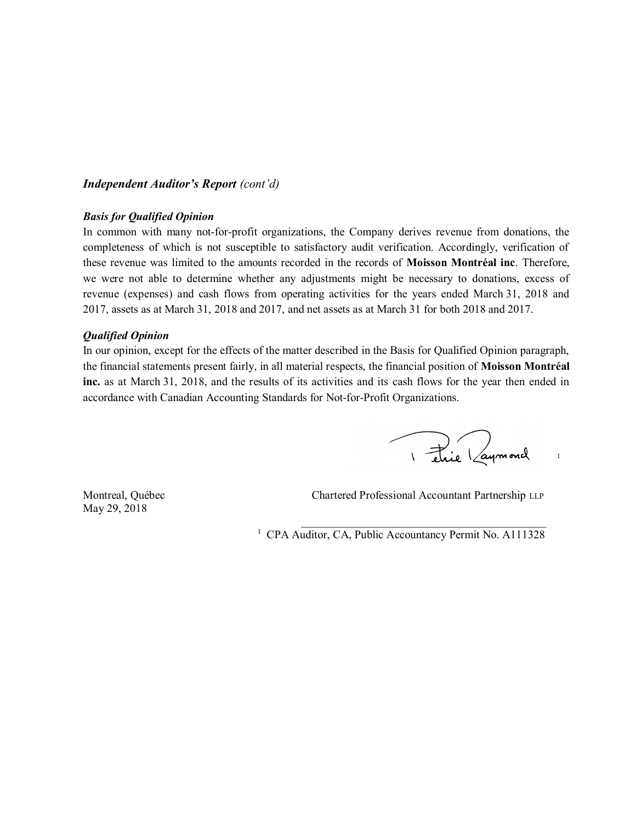# *Independent Auditor's Report (cont'd)*

# *Basis for Qualified Opinion*

In common with many not-for-profit organizations, the Company derives revenue from donations, the completeness of which is not susceptible to satisfactory audit verification. Accordingly, verification of these revenue was limited to the amounts recorded in the records of **Moisson Montréal inc**. Therefore, we were not able to determine whether any adjustments might be necessary to donations, excess of revenue (expenses) and cash flows from operating activities for the years ended March 31, 2018 and 2017, assets as at March 31, 2018 and 2017, and net assets as at March 31 for both 2018 and 2017.

#### *Qualified Opinion*

In our opinion, except for the effects of the matter described in the Basis for Qualified Opinion paragraph, the financial statements present fairly, in all material respects, the financial position of **Moisson Montréal inc.** as at March 31, 2018, and the results of its activities and its cash flows for the year then ended in accordance with Canadian Accounting Standards for Not-for-Profit Organizations.

I étaie Laymond

May 29, 2018

Montreal, Québec Chartered Professional Accountant Partnership LLP

 $\mathcal{L}_\text{max}$  and  $\mathcal{L}_\text{max}$  and  $\mathcal{L}_\text{max}$  and  $\mathcal{L}_\text{max}$ 

<sup>1</sup> CPA Auditor, CA, Public Accountancy Permit No. A111328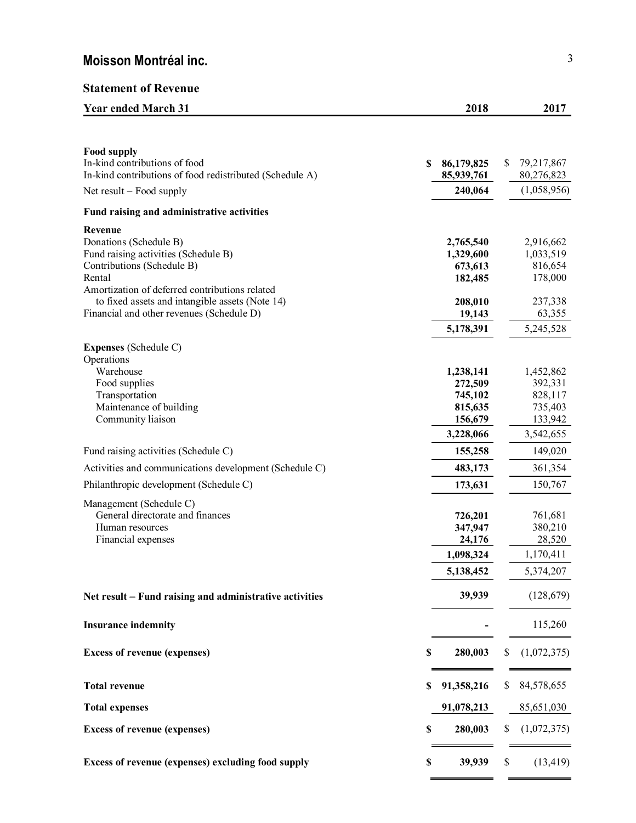# **Statement of Revenue**

| <b>Year ended March 31</b>                                                                                                                                                                                             | 2018                                                               | 2017                                                               |
|------------------------------------------------------------------------------------------------------------------------------------------------------------------------------------------------------------------------|--------------------------------------------------------------------|--------------------------------------------------------------------|
|                                                                                                                                                                                                                        |                                                                    |                                                                    |
| <b>Food supply</b><br>In-kind contributions of food<br>In-kind contributions of food redistributed (Schedule A)                                                                                                        | \$<br>86,179,825<br>85,939,761                                     | \$<br>79,217,867<br>80,276,823                                     |
| Net result $-$ Food supply                                                                                                                                                                                             | 240,064                                                            | (1,058,956)                                                        |
| Fund raising and administrative activities                                                                                                                                                                             |                                                                    |                                                                    |
| Revenue<br>Donations (Schedule B)<br>Fund raising activities (Schedule B)<br>Contributions (Schedule B)<br>Rental<br>Amortization of deferred contributions related<br>to fixed assets and intangible assets (Note 14) | 2,765,540<br>1,329,600<br>673,613<br>182,485<br>208,010            | 2,916,662<br>1,033,519<br>816,654<br>178,000<br>237,338            |
| Financial and other revenues (Schedule D)                                                                                                                                                                              | 19,143                                                             | 63,355                                                             |
|                                                                                                                                                                                                                        | 5,178,391                                                          | 5,245,528                                                          |
| <b>Expenses</b> (Schedule C)<br>Operations<br>Warehouse<br>Food supplies<br>Transportation<br>Maintenance of building<br>Community liaison                                                                             | 1,238,141<br>272,509<br>745,102<br>815,635<br>156,679<br>3,228,066 | 1,452,862<br>392,331<br>828,117<br>735,403<br>133,942<br>3,542,655 |
| Fund raising activities (Schedule C)                                                                                                                                                                                   | 155,258                                                            | 149,020                                                            |
| Activities and communications development (Schedule C)                                                                                                                                                                 | 483,173                                                            | 361,354                                                            |
| Philanthropic development (Schedule C)                                                                                                                                                                                 | 173,631                                                            | 150,767                                                            |
| Management (Schedule C)<br>General directorate and finances<br>Human resources<br>Financial expenses                                                                                                                   | 726,201<br>347,947<br>24,176<br>1,098,324<br>5,138,452             | 761,681<br>380,210<br>28,520<br>1,170,411<br>5,374,207             |
| Net result – Fund raising and administrative activities                                                                                                                                                                | 39,939                                                             | (128, 679)                                                         |
| <b>Insurance indemnity</b>                                                                                                                                                                                             |                                                                    | 115,260                                                            |
| <b>Excess of revenue (expenses)</b>                                                                                                                                                                                    | \$<br>280,003                                                      | (1,072,375)                                                        |
| <b>Total revenue</b>                                                                                                                                                                                                   | \$<br>91,358,216                                                   | \$<br>84,578,655                                                   |
| <b>Total expenses</b>                                                                                                                                                                                                  | 91,078,213                                                         | 85,651,030                                                         |
| <b>Excess of revenue (expenses)</b>                                                                                                                                                                                    | \$<br>280,003                                                      | (1,072,375)                                                        |
| Excess of revenue (expenses) excluding food supply                                                                                                                                                                     | \$<br>39,939                                                       | \$<br>(13, 419)                                                    |

 $\equiv$  $\sim$  100  $\pm$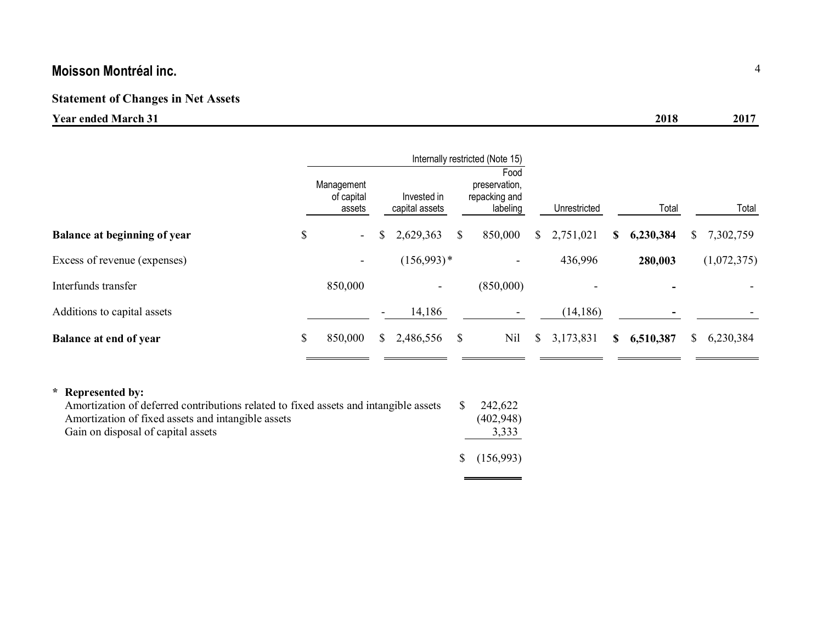# **Statement of Changes in Net Assets**

# **Year ended March 31 2018 2017**

|                                     |    |                                    |    |                               |    | Internally restricted (Note 15)                    |    |              |   |           |       |             |
|-------------------------------------|----|------------------------------------|----|-------------------------------|----|----------------------------------------------------|----|--------------|---|-----------|-------|-------------|
|                                     |    | Management<br>of capital<br>assets |    | Invested in<br>capital assets |    | Food<br>preservation,<br>repacking and<br>labeling |    | Unrestricted |   | Total     | Total |             |
| <b>Balance at beginning of year</b> | \$ | $\sim$                             |    | 2,629,363                     | \$ | 850,000                                            | \$ | 2,751,021    | S | 6,230,384 | S     | 7,302,759   |
| Excess of revenue (expenses)        |    | $\overline{\phantom{a}}$           |    | $(156,993)*$                  |    | $\overline{\phantom{0}}$                           |    | 436,996      |   | 280,003   |       | (1,072,375) |
| Interfunds transfer                 |    | 850,000                            |    | ۰.                            |    | (850,000)                                          |    |              |   |           |       |             |
| Additions to capital assets         |    |                                    |    | 14,186                        |    |                                                    |    | (14, 186)    |   |           |       |             |
| <b>Balance at end of year</b>       | \$ | 850,000                            | S. | 2,486,556                     | \$ | Nil                                                | \$ | 3,173,831    | S | 6,510,387 | S     | 6,230,384   |

 $\blacksquare$ 

 $\equiv$ 

# **\* Represented by:**

| Amortization of deferred contributions related to fixed assets and intangible assets | - S | 242.622             |
|--------------------------------------------------------------------------------------|-----|---------------------|
| Amortization of fixed assets and intangible assets                                   |     | (402,948)           |
| Gain on disposal of capital assets                                                   |     | 3,333               |
|                                                                                      |     | $\frac{156,993}{2}$ |
|                                                                                      |     |                     |

 $\sim$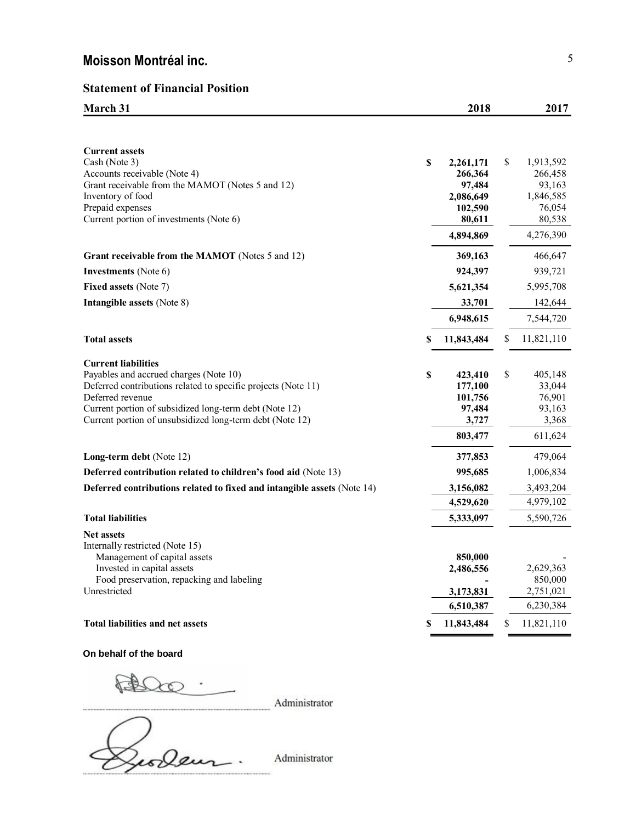# **Statement of Financial Position**

**March 31 2018 2017** 

| <b>Current assets</b><br>Cash (Note 3)<br>Accounts receivable (Note 4)<br>Grant receivable from the MAMOT (Notes 5 and 12)<br>Inventory of food<br>Prepaid expenses<br>Current portion of investments (Note 6)                                                                  | $\boldsymbol{\mathsf{S}}$ | 2,261,171<br>266,364<br>97,484<br>2,086,649<br>102,590<br>80,611<br>4,894,869 | \$<br>1,913,592<br>266,458<br>93,163<br>1,846,585<br>76,054<br>80,538<br>4,276,390 |
|---------------------------------------------------------------------------------------------------------------------------------------------------------------------------------------------------------------------------------------------------------------------------------|---------------------------|-------------------------------------------------------------------------------|------------------------------------------------------------------------------------|
| Grant receivable from the MAMOT (Notes 5 and 12)                                                                                                                                                                                                                                |                           | 369,163<br>924,397                                                            | 466,647                                                                            |
| <b>Investments</b> (Note 6)                                                                                                                                                                                                                                                     |                           |                                                                               | 939,721                                                                            |
| Fixed assets (Note 7)                                                                                                                                                                                                                                                           |                           | 5,621,354                                                                     | 5,995,708                                                                          |
| Intangible assets (Note 8)                                                                                                                                                                                                                                                      |                           | 33,701                                                                        | 142,644                                                                            |
|                                                                                                                                                                                                                                                                                 |                           | 6,948,615                                                                     | 7,544,720                                                                          |
| <b>Total assets</b>                                                                                                                                                                                                                                                             | \$                        | 11,843,484                                                                    | \$<br>11,821,110                                                                   |
| <b>Current liabilities</b><br>Payables and accrued charges (Note 10)<br>Deferred contributions related to specific projects (Note 11)<br>Deferred revenue<br>Current portion of subsidized long-term debt (Note 12)<br>Current portion of unsubsidized long-term debt (Note 12) | \$                        | 423,410<br>177,100<br>101,756<br>97,484<br>3,727<br>803,477                   | \$<br>405,148<br>33,044<br>76,901<br>93,163<br>3,368<br>611,624                    |
| Long-term debt (Note 12)                                                                                                                                                                                                                                                        |                           | 377,853                                                                       | 479,064                                                                            |
| Deferred contribution related to children's food aid (Note 13)                                                                                                                                                                                                                  |                           | 995,685                                                                       | 1,006,834                                                                          |
| Deferred contributions related to fixed and intangible assets (Note 14)                                                                                                                                                                                                         |                           | 3,156,082                                                                     | 3,493,204                                                                          |
|                                                                                                                                                                                                                                                                                 |                           | 4,529,620                                                                     | 4,979,102                                                                          |
| <b>Total liabilities</b>                                                                                                                                                                                                                                                        |                           | 5,333,097                                                                     | 5,590,726                                                                          |
| <b>Net assets</b><br>Internally restricted (Note 15)<br>Management of capital assets<br>Invested in capital assets<br>Food preservation, repacking and labeling<br>Unrestricted                                                                                                 |                           | 850,000<br>2,486,556<br>3,173,831<br>6,510,387                                | 2,629,363<br>850,000<br>2,751,021<br>6,230,384                                     |
| <b>Total liabilities and net assets</b>                                                                                                                                                                                                                                         | \$                        | 11,843,484                                                                    | \$<br>11,821,110                                                                   |

**On behalf of the board**

F  $\infty$ 

Administrator

Georgen Administrator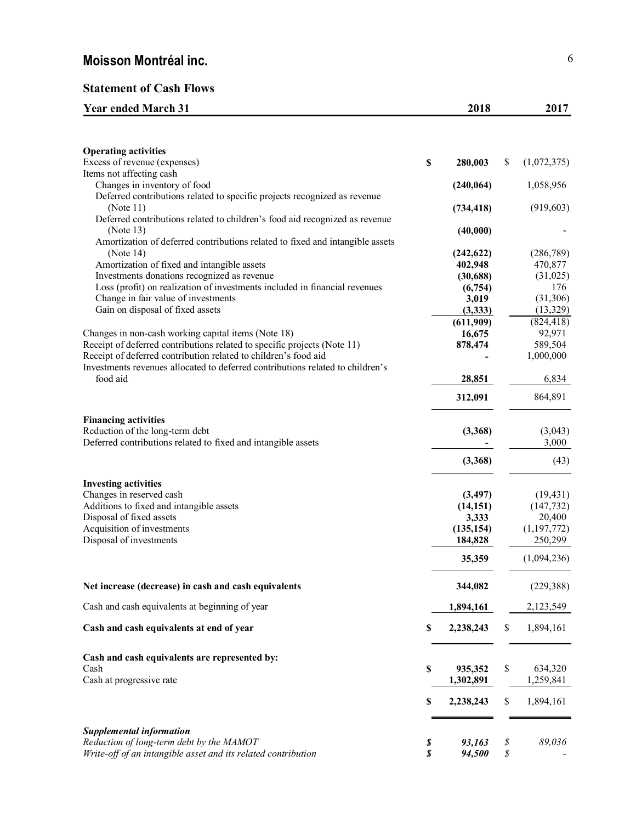# **Statement of Cash Flows**

| <b>Year ended March 31</b> | 2018 | 2017 |
|----------------------------|------|------|
|                            |      |      |

| <b>Operating activities</b>                                                            |             |                       |    |                         |
|----------------------------------------------------------------------------------------|-------------|-----------------------|----|-------------------------|
| Excess of revenue (expenses)<br>Items not affecting cash                               | $\mathbb S$ | 280,003               | \$ | (1,072,375)             |
| Changes in inventory of food                                                           |             | (240, 064)            |    | 1,058,956               |
| Deferred contributions related to specific projects recognized as revenue<br>(Note 11) |             | (734, 418)            |    | (919, 603)              |
| Deferred contributions related to children's food aid recognized as revenue            |             |                       |    |                         |
| (Note 13)                                                                              |             | (40,000)              |    |                         |
| Amortization of deferred contributions related to fixed and intangible assets          |             |                       |    |                         |
| (Note $14$ )                                                                           |             | (242, 622)            |    | (286, 789)              |
| Amortization of fixed and intangible assets                                            |             | 402,948               |    | 470,877                 |
| Investments donations recognized as revenue                                            |             | (30, 688)             |    | (31,025)                |
| Loss (profit) on realization of investments included in financial revenues             |             | (6,754)               |    | 176                     |
| Change in fair value of investments                                                    |             | 3,019                 |    | (31, 306)               |
| Gain on disposal of fixed assets                                                       |             | (3,333)               |    | (13, 329)               |
|                                                                                        |             | (611,909)             |    | (824, 418)              |
| Changes in non-cash working capital items (Note 18)                                    |             | 16,675                |    | 92,971                  |
| Receipt of deferred contributions related to specific projects (Note 11)               |             | 878,474               |    | 589,504                 |
| Receipt of deferred contribution related to children's food aid                        |             |                       |    | 1,000,000               |
| Investments revenues allocated to deferred contributions related to children's         |             |                       |    |                         |
| food aid                                                                               |             | 28,851                |    | 6,834                   |
|                                                                                        |             | 312,091               |    | 864,891                 |
| <b>Financing activities</b>                                                            |             |                       |    |                         |
| Reduction of the long-term debt                                                        |             | (3,368)               |    | (3,043)                 |
| Deferred contributions related to fixed and intangible assets                          |             |                       |    | 3,000                   |
|                                                                                        |             | (3,368)               |    | (43)                    |
|                                                                                        |             |                       |    |                         |
| <b>Investing activities</b>                                                            |             |                       |    |                         |
| Changes in reserved cash                                                               |             | (3, 497)              |    | (19, 431)               |
| Additions to fixed and intangible assets                                               |             | (14, 151)             |    | (147, 732)              |
| Disposal of fixed assets<br>Acquisition of investments                                 |             | 3,333                 |    | 20,400<br>(1, 197, 772) |
| Disposal of investments                                                                |             | (135, 154)<br>184,828 |    | 250,299                 |
|                                                                                        |             |                       |    |                         |
|                                                                                        |             | 35,359                |    | (1,094,236)             |
| Net increase (decrease) in cash and cash equivalents                                   |             | 344,082               |    | (229, 388)              |
| Cash and cash equivalents at beginning of year                                         |             | 1,894,161             |    | 2,123,549               |
| Cash and cash equivalents at end of year                                               | \$          | 2,238,243             | S  | 1,894,161               |
|                                                                                        |             |                       |    |                         |
| Cash and cash equivalents are represented by:                                          |             |                       |    |                         |
| Cash                                                                                   | \$          | 935,352               | \$ | 634,320                 |
| Cash at progressive rate                                                               |             | 1,302,891             |    | 1,259,841               |
|                                                                                        | \$          | 2,238,243             | \$ | 1,894,161               |
|                                                                                        |             |                       |    |                         |
| <b>Supplemental information</b>                                                        |             |                       |    |                         |
| Reduction of long-term debt by the MAMOT                                               | \$          | 93,163                | \$ | 89,036                  |
| Write-off of an intangible asset and its related contribution                          | \$          | 94,500                | \$ |                         |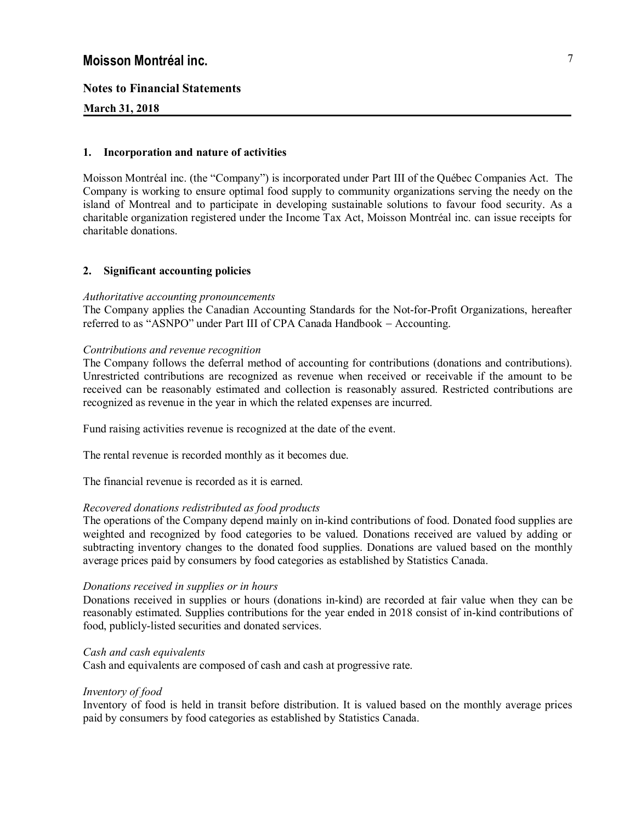# **Notes to Financial Statements**

# **March 31, 2018**

## **1. Incorporation and nature of activities**

Moisson Montréal inc. (the "Company") is incorporated under Part III of the Québec Companies Act. The Company is working to ensure optimal food supply to community organizations serving the needy on the island of Montreal and to participate in developing sustainable solutions to favour food security. As a charitable organization registered under the Income Tax Act, Moisson Montréal inc. can issue receipts for charitable donations.

# **2. Significant accounting policies**

## *Authoritative accounting pronouncements*

The Company applies the Canadian Accounting Standards for the Not-for-Profit Organizations, hereafter referred to as "ASNPO" under Part III of CPA Canada Handbook - Accounting.

## *Contributions and revenue recognition*

The Company follows the deferral method of accounting for contributions (donations and contributions). Unrestricted contributions are recognized as revenue when received or receivable if the amount to be received can be reasonably estimated and collection is reasonably assured. Restricted contributions are recognized as revenue in the year in which the related expenses are incurred.

Fund raising activities revenue is recognized at the date of the event.

The rental revenue is recorded monthly as it becomes due.

The financial revenue is recorded as it is earned.

## *Recovered donations redistributed as food products*

The operations of the Company depend mainly on in-kind contributions of food. Donated food supplies are weighted and recognized by food categories to be valued. Donations received are valued by adding or subtracting inventory changes to the donated food supplies. Donations are valued based on the monthly average prices paid by consumers by food categories as established by Statistics Canada.

## *Donations received in supplies or in hours*

Donations received in supplies or hours (donations in-kind) are recorded at fair value when they can be reasonably estimated. Supplies contributions for the year ended in 2018 consist of in-kind contributions of food, publicly-listed securities and donated services.

## *Cash and cash equivalents*

Cash and equivalents are composed of cash and cash at progressive rate.

## *Inventory of food*

Inventory of food is held in transit before distribution. It is valued based on the monthly average prices paid by consumers by food categories as established by Statistics Canada.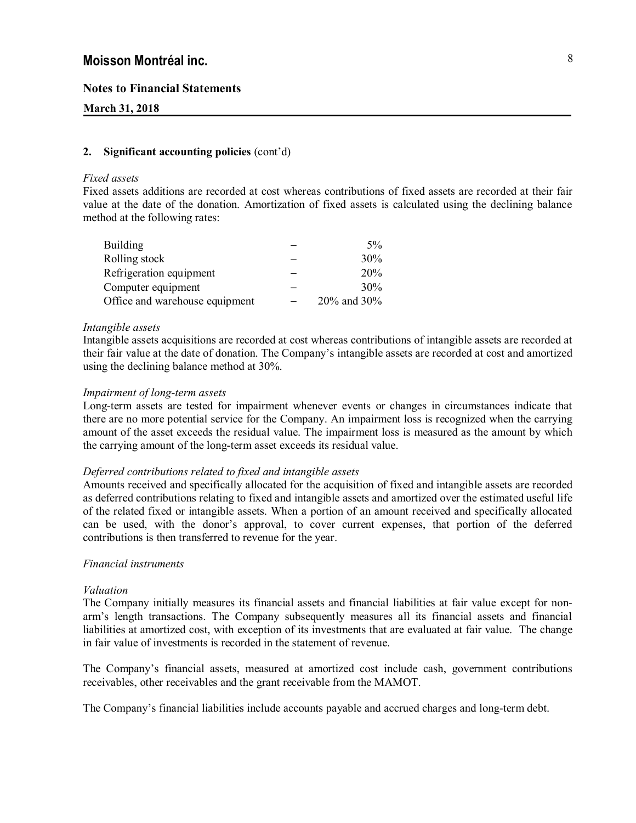# **Notes to Financial Statements**

## **March 31, 2018**

#### **2. Significant accounting policies** (cont'd)

#### *Fixed assets*

Fixed assets additions are recorded at cost whereas contributions of fixed assets are recorded at their fair value at the date of the donation. Amortization of fixed assets is calculated using the declining balance method at the following rates:

| <b>Building</b>                | $5\%$       |
|--------------------------------|-------------|
| Rolling stock                  | 30%         |
| Refrigeration equipment        | 20%         |
| Computer equipment             | 30%         |
| Office and warehouse equipment | 20% and 30% |

#### *Intangible assets*

Intangible assets acquisitions are recorded at cost whereas contributions of intangible assets are recorded at their fair value at the date of donation. The Company's intangible assets are recorded at cost and amortized using the declining balance method at 30%.

#### *Impairment of long-term assets*

Long-term assets are tested for impairment whenever events or changes in circumstances indicate that there are no more potential service for the Company. An impairment loss is recognized when the carrying amount of the asset exceeds the residual value. The impairment loss is measured as the amount by which the carrying amount of the long-term asset exceeds its residual value.

#### *Deferred contributions related to fixed and intangible assets*

Amounts received and specifically allocated for the acquisition of fixed and intangible assets are recorded as deferred contributions relating to fixed and intangible assets and amortized over the estimated useful life of the related fixed or intangible assets. When a portion of an amount received and specifically allocated can be used, with the donor's approval, to cover current expenses, that portion of the deferred contributions is then transferred to revenue for the year.

#### *Financial instruments*

#### *Valuation*

The Company initially measures its financial assets and financial liabilities at fair value except for nonarm's length transactions. The Company subsequently measures all its financial assets and financial liabilities at amortized cost, with exception of its investments that are evaluated at fair value. The change in fair value of investments is recorded in the statement of revenue.

The Company's financial assets, measured at amortized cost include cash, government contributions receivables, other receivables and the grant receivable from the MAMOT.

The Company's financial liabilities include accounts payable and accrued charges and long-term debt.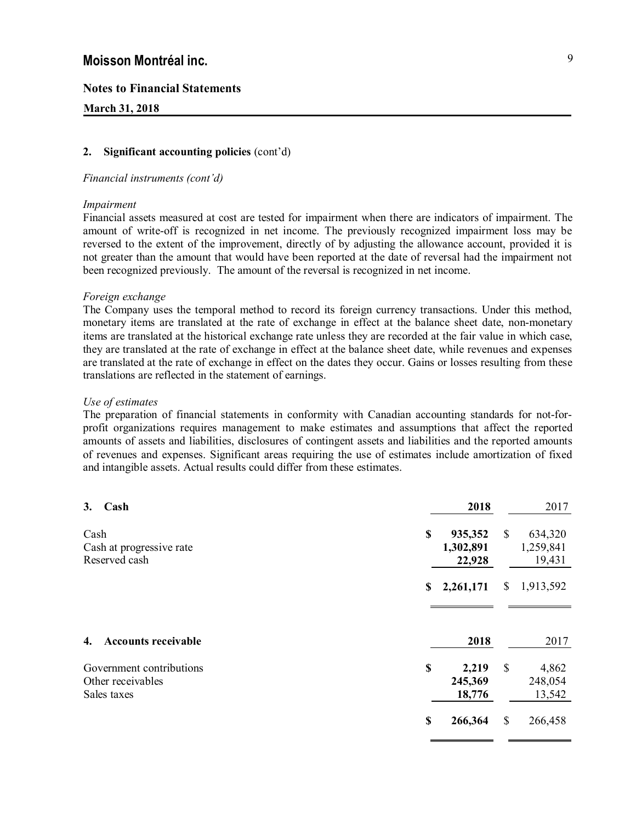# **Notes to Financial Statements**

# **March 31, 2018**

## **2. Significant accounting policies** (cont'd)

#### *Financial instruments (cont'd)*

## *Impairment*

Financial assets measured at cost are tested for impairment when there are indicators of impairment. The amount of write-off is recognized in net income. The previously recognized impairment loss may be reversed to the extent of the improvement, directly of by adjusting the allowance account, provided it is not greater than the amount that would have been reported at the date of reversal had the impairment not been recognized previously. The amount of the reversal is recognized in net income.

#### *Foreign exchange*

The Company uses the temporal method to record its foreign currency transactions. Under this method, monetary items are translated at the rate of exchange in effect at the balance sheet date, non-monetary items are translated at the historical exchange rate unless they are recorded at the fair value in which case, they are translated at the rate of exchange in effect at the balance sheet date, while revenues and expenses are translated at the rate of exchange in effect on the dates they occur. Gains or losses resulting from these translations are reflected in the statement of earnings.

#### *Use of estimates*

The preparation of financial statements in conformity with Canadian accounting standards for not-forprofit organizations requires management to make estimates and assumptions that affect the reported amounts of assets and liabilities, disclosures of contingent assets and liabilities and the reported amounts of revenues and expenses. Significant areas requiring the use of estimates include amortization of fixed and intangible assets. Actual results could differ from these estimates.

| 3.   | Cash                                                         | 2018                                 |               | 2017                           |
|------|--------------------------------------------------------------|--------------------------------------|---------------|--------------------------------|
| Cash | Cash at progressive rate<br>Reserved cash                    | \$<br>935,352<br>1,302,891<br>22,928 | <sup>\$</sup> | 634,320<br>1,259,841<br>19,431 |
|      |                                                              | \$<br>2,261,171                      | \$            | 1,913,592                      |
| 4.   | <b>Accounts receivable</b>                                   | 2018                                 |               | 2017                           |
|      | Government contributions<br>Other receivables<br>Sales taxes | \$<br>2,219<br>245,369<br>18,776     | \$            | 4,862<br>248,054<br>13,542     |
|      |                                                              | \$<br>266,364                        | \$            | 266,458                        |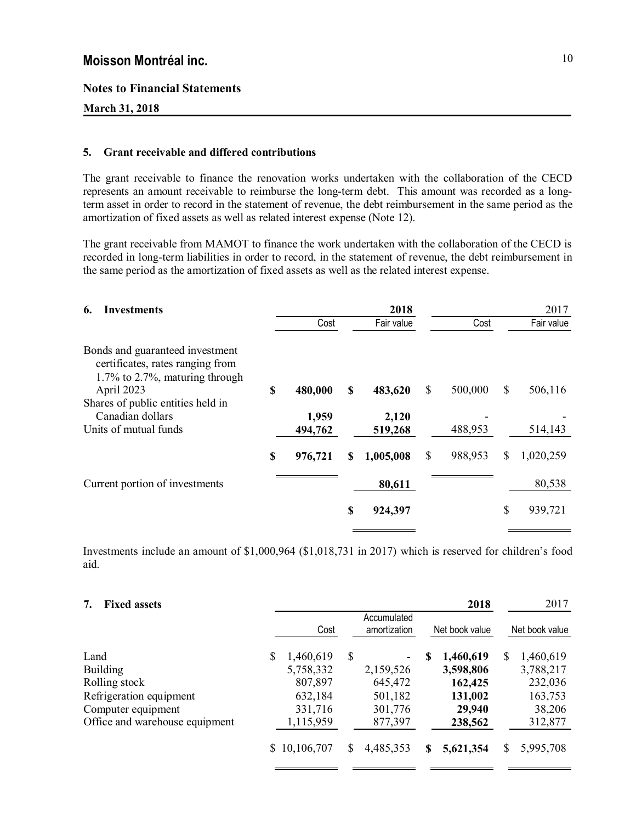## **Notes to Financial Statements**

# **March 31, 2018**

# **5. Grant receivable and differed contributions**

The grant receivable to finance the renovation works undertaken with the collaboration of the CECD represents an amount receivable to reimburse the long-term debt. This amount was recorded as a longterm asset in order to record in the statement of revenue, the debt reimbursement in the same period as the amortization of fixed assets as well as related interest expense (Note 12).

The grant receivable from MAMOT to finance the work undertaken with the collaboration of the CECD is recorded in long-term liabilities in order to record, in the statement of revenue, the debt reimbursement in the same period as the amortization of fixed assets as well as the related interest expense.

| <b>Investments</b><br>6.                                                                                 |    |                  |   | 2018             |               | 2017            |
|----------------------------------------------------------------------------------------------------------|----|------------------|---|------------------|---------------|-----------------|
|                                                                                                          |    | Cost             |   | Fair value       | Cost          | Fair value      |
| Bonds and guaranteed investment<br>certificates, rates ranging from<br>$1.7\%$ to 2.7%, maturing through |    |                  |   |                  |               |                 |
| April 2023                                                                                               | \$ | 480,000          | S | 483,620          | \$<br>500,000 | \$<br>506,116   |
| Shares of public entities held in<br>Canadian dollars<br>Units of mutual funds                           |    | 1,959<br>494,762 |   | 2,120<br>519,268 | 488,953       | 514,143         |
|                                                                                                          | S  | 976,721          | S | 1,005,008        | \$<br>988,953 | \$<br>1,020,259 |
| Current portion of investments                                                                           |    |                  |   | 80,611           |               | 80,538          |
|                                                                                                          |    |                  | S | 924,397          |               | \$<br>939,721   |

Investments include an amount of \$1,000,964 (\$1,018,731 in 2017) which is reserved for children's food aid.

| <b>Fixed assets</b> | 7. |  |  |
|---------------------|----|--|--|
|---------------------|----|--|--|

| 7.<br><b>Fixed assets</b>      |   |              |    |                             |   | 2018           |    | 2017           |
|--------------------------------|---|--------------|----|-----------------------------|---|----------------|----|----------------|
|                                |   | Cost         |    | Accumulated<br>amortization |   | Net book value |    | Net book value |
| Land                           | S | 1,460,619    | \$ |                             | S | 1,460,619      | \$ | 1,460,619      |
| <b>Building</b>                |   | 5,758,332    |    | 2,159,526                   |   | 3,598,806      |    | 3,788,217      |
| Rolling stock                  |   | 807,897      |    | 645,472                     |   | 162,425        |    | 232,036        |
| Refrigeration equipment        |   | 632,184      |    | 501,182                     |   | 131,002        |    | 163,753        |
| Computer equipment             |   | 331,716      |    | 301,776                     |   | 29,940         |    | 38,206         |
| Office and warehouse equipment |   | 1,115,959    |    | 877,397                     |   | 238,562        |    | 312,877        |
|                                |   | \$10,106,707 | S  | 4,485,353                   | S | 5,621,354      | S  | 5,995,708      |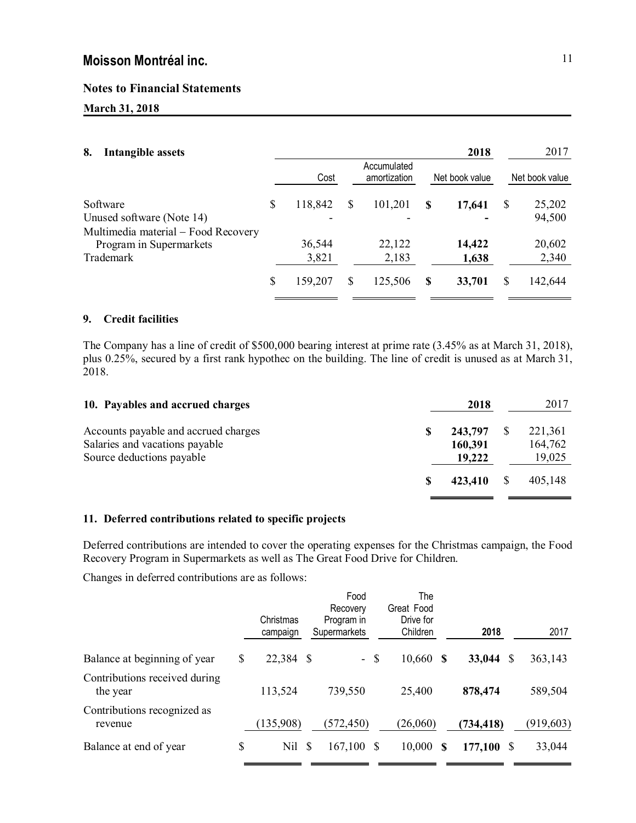# **Notes to Financial Statements**

# **March 31, 2018**

| 8.<br><b>Intangible assets</b>      |    |         |    |                             |   | 2018           |   | 2017           |
|-------------------------------------|----|---------|----|-----------------------------|---|----------------|---|----------------|
|                                     |    | Cost    |    | Accumulated<br>amortization |   | Net book value |   | Net book value |
| Software                            | S  | 118,842 | \$ | 101,201                     | S | 17,641         | S | 25,202         |
| Unused software (Note 14)           |    |         |    |                             |   |                |   | 94,500         |
| Multimedia material – Food Recovery |    |         |    |                             |   |                |   |                |
| Program in Supermarkets             |    | 36,544  |    | 22,122                      |   | 14,422         |   | 20,602         |
| Trademark                           |    | 3,821   |    | 2,183                       |   | 1,638          |   | 2,340          |
|                                     | \$ | 159,207 | S  | 125,506                     | S | 33,701         | S | 142,644        |

## **9. Credit facilities**

The Company has a line of credit of \$500,000 bearing interest at prime rate (3.45% as at March 31, 2018), plus 0.25%, secured by a first rank hypothec on the building. The line of credit is unused as at March 31, 2018.

| 10. Payables and accrued charges                                                                    | 2018                         | 2017                         |
|-----------------------------------------------------------------------------------------------------|------------------------------|------------------------------|
| Accounts payable and accrued charges<br>Salaries and vacations payable<br>Source deductions payable | 243,797<br>160,391<br>19,222 | 221,361<br>164,762<br>19,025 |
|                                                                                                     | 423.410                      | 405.148                      |

# **11. Deferred contributions related to specific projects**

Deferred contributions are intended to cover the operating expenses for the Christmas campaign, the Food Recovery Program in Supermarkets as well as The Great Food Drive for Children.

Changes in deferred contributions are as follows:

|                                           | Christmas<br>campaign |      | Food<br>Recovery<br>Program in<br>Supermarkets | The<br>Great Food<br>Drive for<br>Children | 2018       |   | 2017       |
|-------------------------------------------|-----------------------|------|------------------------------------------------|--------------------------------------------|------------|---|------------|
| Balance at beginning of year              | \$<br>22,384          | - \$ | $-$ \$                                         | $10,660$ \$                                | 33,044     | S | 363,143    |
| Contributions received during<br>the year | 113,524               |      | 739,550                                        | 25,400                                     | 878,474    |   | 589,504    |
| Contributions recognized as<br>revenue    | (135,908)             |      | (572, 450)                                     | (26,060)                                   | (734, 418) |   | (919, 603) |
| Balance at end of year                    | \$<br>Nil             | \$   | $167,100$ \$                                   | 10,000<br>S                                | 177,100    | S | 33,044     |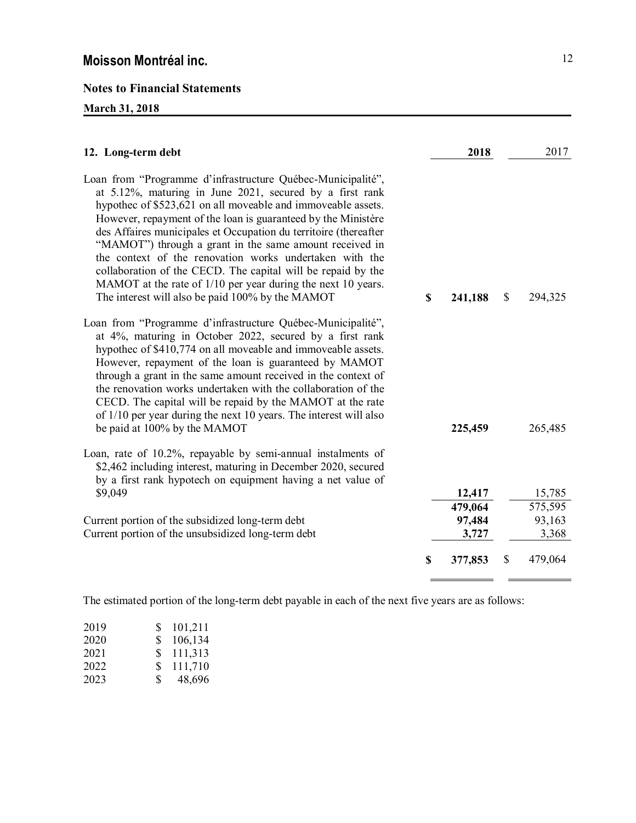# **Notes to Financial Statements**

# **March 31, 2018**

| 12. Long-term debt                                                                                                                                                                                                                                                                                                                                                                                                                                                                                                                                                                                                                     | 2018          | 2017          |
|----------------------------------------------------------------------------------------------------------------------------------------------------------------------------------------------------------------------------------------------------------------------------------------------------------------------------------------------------------------------------------------------------------------------------------------------------------------------------------------------------------------------------------------------------------------------------------------------------------------------------------------|---------------|---------------|
| Loan from "Programme d'infrastructure Québec-Municipalité",<br>at 5.12%, maturing in June 2021, secured by a first rank<br>hypothec of \$523,621 on all moveable and immoveable assets.<br>However, repayment of the loan is guaranteed by the Ministère<br>des Affaires municipales et Occupation du territoire (thereafter<br>"MAMOT") through a grant in the same amount received in<br>the context of the renovation works undertaken with the<br>collaboration of the CECD. The capital will be repaid by the<br>MAMOT at the rate of 1/10 per year during the next 10 years.<br>The interest will also be paid 100% by the MAMOT | \$<br>241,188 | \$<br>294,325 |
| Loan from "Programme d'infrastructure Québec-Municipalité",<br>at 4%, maturing in October 2022, secured by a first rank<br>hypothec of \$410,774 on all moveable and immoveable assets.<br>However, repayment of the loan is guaranteed by MAMOT<br>through a grant in the same amount received in the context of<br>the renovation works undertaken with the collaboration of the<br>CECD. The capital will be repaid by the MAMOT at the rate<br>of 1/10 per year during the next 10 years. The interest will also<br>be paid at 100% by the MAMOT                                                                                   | 225,459       | 265,485       |
| Loan, rate of 10.2%, repayable by semi-annual instalments of<br>\$2,462 including interest, maturing in December 2020, secured<br>by a first rank hypotech on equipment having a net value of                                                                                                                                                                                                                                                                                                                                                                                                                                          |               |               |
| \$9,049                                                                                                                                                                                                                                                                                                                                                                                                                                                                                                                                                                                                                                | 12,417        | 15,785        |
|                                                                                                                                                                                                                                                                                                                                                                                                                                                                                                                                                                                                                                        | 479,064       | 575,595       |
| Current portion of the subsidized long-term debt                                                                                                                                                                                                                                                                                                                                                                                                                                                                                                                                                                                       | 97,484        | 93,163        |
| Current portion of the unsubsidized long-term debt                                                                                                                                                                                                                                                                                                                                                                                                                                                                                                                                                                                     | 3,727         | 3,368         |
|                                                                                                                                                                                                                                                                                                                                                                                                                                                                                                                                                                                                                                        | \$<br>377,853 | \$<br>479,064 |

The estimated portion of the long-term debt payable in each of the next five years are as follows:

| 2019 | S. | 101,211 |
|------|----|---------|
| 2020 | S. | 106,134 |
| 2021 | S. | 111,313 |
| 2022 | S  | 111,710 |
| 2023 | S. | 48,696  |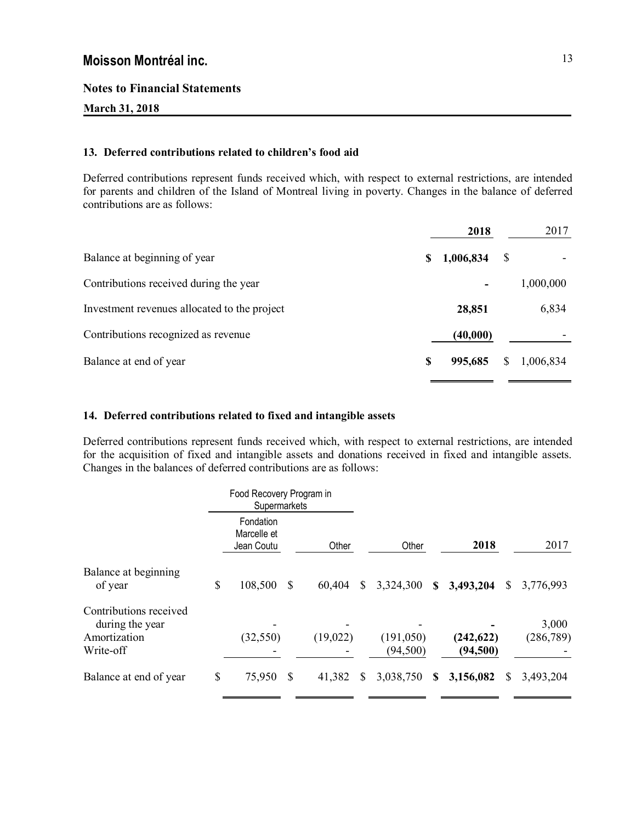# **Notes to Financial Statements**

# **March 31, 2018**

# **13. Deferred contributions related to children's food aid**

Deferred contributions represent funds received which, with respect to external restrictions, are intended for parents and children of the Island of Montreal living in poverty. Changes in the balance of deferred contributions are as follows:

|                                              |   | 2018      |               | 2017      |
|----------------------------------------------|---|-----------|---------------|-----------|
| Balance at beginning of year                 | S | 1,006,834 | <sup>\$</sup> |           |
| Contributions received during the year       |   | ۰         |               | 1,000,000 |
| Investment revenues allocated to the project |   | 28,851    |               | 6,834     |
| Contributions recognized as revenue          |   | (40,000)  |               |           |
| Balance at end of year                       | S | 995,685   | S             | 1,006,834 |

# **14. Deferred contributions related to fixed and intangible assets**

Deferred contributions represent funds received which, with respect to external restrictions, are intended for the acquisition of fixed and intangible assets and donations received in fixed and intangible assets. Changes in the balances of deferred contributions are as follows:

|                                                                        | Food Recovery Program in<br>Supermarkets |    |          |              |                         |    |                         |    |                     |
|------------------------------------------------------------------------|------------------------------------------|----|----------|--------------|-------------------------|----|-------------------------|----|---------------------|
|                                                                        | Fondation<br>Marcelle et<br>Jean Coutu   |    | Other    |              | Other                   |    | 2018                    |    | 2017                |
| Balance at beginning<br>of year                                        | \$<br>108,500                            | \$ | 60,404   | \$           | 3,324,300               | S. | 3,493,204               | S. | 3,776,993           |
| Contributions received<br>during the year<br>Amortization<br>Write-off | (32, 550)                                |    | (19,022) |              | (191, 050)<br>(94, 500) |    | (242, 622)<br>(94, 500) |    | 3,000<br>(286, 789) |
| Balance at end of year                                                 | \$<br>75,950                             | -S | 41,382   | <sup>S</sup> | 3,038,750               | S  | 3,156,082               | S. | 3,493,204           |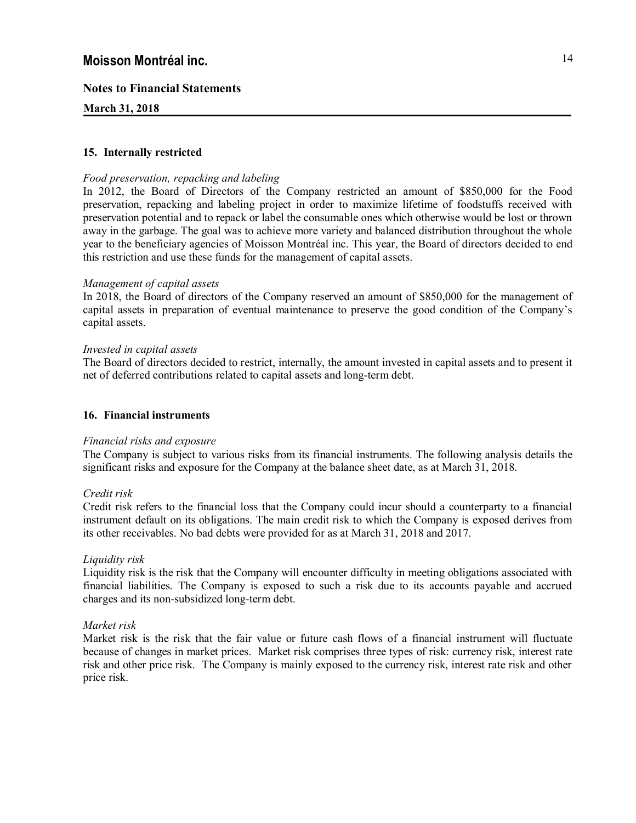# **Notes to Financial Statements**

## **March 31, 2018**

## **15. Internally restricted**

## *Food preservation, repacking and labeling*

In 2012, the Board of Directors of the Company restricted an amount of \$850,000 for the Food preservation, repacking and labeling project in order to maximize lifetime of foodstuffs received with preservation potential and to repack or label the consumable ones which otherwise would be lost or thrown away in the garbage. The goal was to achieve more variety and balanced distribution throughout the whole year to the beneficiary agencies of Moisson Montréal inc. This year, the Board of directors decided to end this restriction and use these funds for the management of capital assets.

## *Management of capital assets*

In 2018, the Board of directors of the Company reserved an amount of \$850,000 for the management of capital assets in preparation of eventual maintenance to preserve the good condition of the Company's capital assets.

#### *Invested in capital assets*

The Board of directors decided to restrict, internally, the amount invested in capital assets and to present it net of deferred contributions related to capital assets and long-term debt.

## **16. Financial instruments**

## *Financial risks and exposure*

The Company is subject to various risks from its financial instruments. The following analysis details the significant risks and exposure for the Company at the balance sheet date, as at March 31, 2018.

## *Credit risk*

Credit risk refers to the financial loss that the Company could incur should a counterparty to a financial instrument default on its obligations. The main credit risk to which the Company is exposed derives from its other receivables. No bad debts were provided for as at March 31, 2018 and 2017.

## *Liquidity risk*

Liquidity risk is the risk that the Company will encounter difficulty in meeting obligations associated with financial liabilities. The Company is exposed to such a risk due to its accounts payable and accrued charges and its non-subsidized long-term debt.

## *Market risk*

Market risk is the risk that the fair value or future cash flows of a financial instrument will fluctuate because of changes in market prices. Market risk comprises three types of risk: currency risk, interest rate risk and other price risk. The Company is mainly exposed to the currency risk, interest rate risk and other price risk.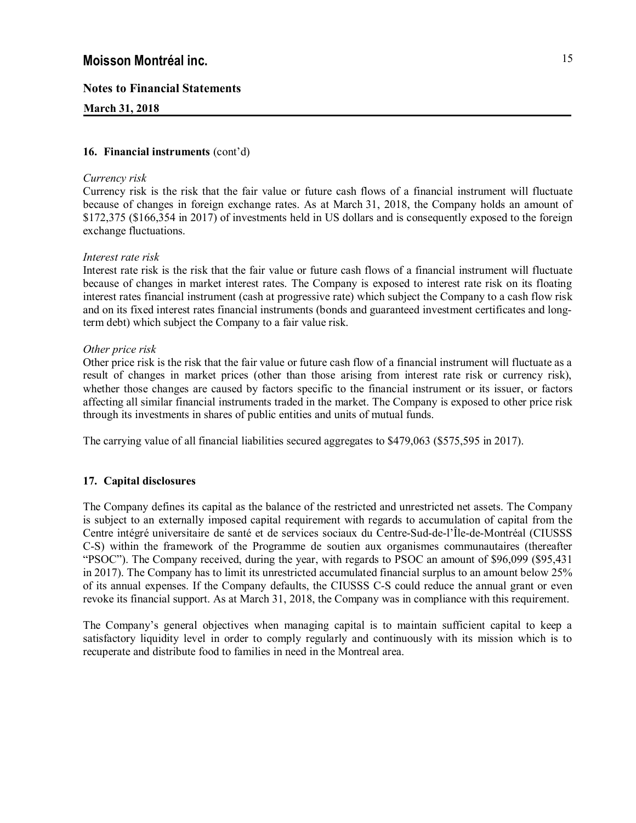# **Notes to Financial Statements**

# **March 31, 2018**

## **16. Financial instruments** (cont'd)

## *Currency risk*

Currency risk is the risk that the fair value or future cash flows of a financial instrument will fluctuate because of changes in foreign exchange rates. As at March 31, 2018, the Company holds an amount of \$172,375 (\$166,354 in 2017) of investments held in US dollars and is consequently exposed to the foreign exchange fluctuations.

# *Interest rate risk*

Interest rate risk is the risk that the fair value or future cash flows of a financial instrument will fluctuate because of changes in market interest rates. The Company is exposed to interest rate risk on its floating interest rates financial instrument (cash at progressive rate) which subject the Company to a cash flow risk and on its fixed interest rates financial instruments (bonds and guaranteed investment certificates and longterm debt) which subject the Company to a fair value risk.

# *Other price risk*

Other price risk is the risk that the fair value or future cash flow of a financial instrument will fluctuate as a result of changes in market prices (other than those arising from interest rate risk or currency risk), whether those changes are caused by factors specific to the financial instrument or its issuer, or factors affecting all similar financial instruments traded in the market. The Company is exposed to other price risk through its investments in shares of public entities and units of mutual funds.

The carrying value of all financial liabilities secured aggregates to \$479,063 (\$575,595 in 2017).

# **17. Capital disclosures**

The Company defines its capital as the balance of the restricted and unrestricted net assets. The Company is subject to an externally imposed capital requirement with regards to accumulation of capital from the Centre intégré universitaire de santé et de services sociaux du Centre-Sud-de-l'Île-de-Montréal (CIUSSS C-S) within the framework of the Programme de soutien aux organismes communautaires (thereafter "PSOC"). The Company received, during the year, with regards to PSOC an amount of \$96,099 (\$95,431 in 2017). The Company has to limit its unrestricted accumulated financial surplus to an amount below 25% of its annual expenses. If the Company defaults, the CIUSSS C-S could reduce the annual grant or even revoke its financial support. As at March 31, 2018, the Company was in compliance with this requirement.

The Company's general objectives when managing capital is to maintain sufficient capital to keep a satisfactory liquidity level in order to comply regularly and continuously with its mission which is to recuperate and distribute food to families in need in the Montreal area.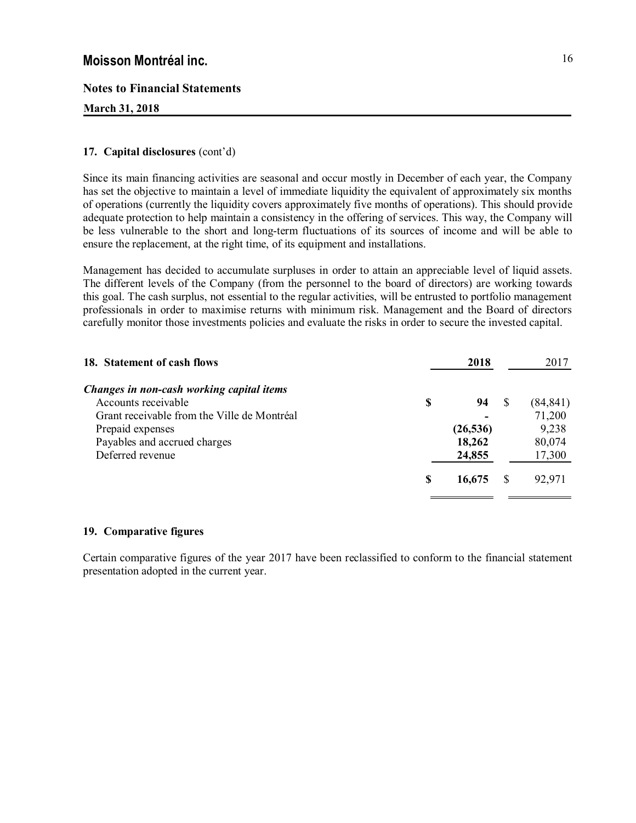# **Notes to Financial Statements**

# **March 31, 2018**

# **17. Capital disclosures** (cont'd)

Since its main financing activities are seasonal and occur mostly in December of each year, the Company has set the objective to maintain a level of immediate liquidity the equivalent of approximately six months of operations (currently the liquidity covers approximately five months of operations). This should provide adequate protection to help maintain a consistency in the offering of services. This way, the Company will be less vulnerable to the short and long-term fluctuations of its sources of income and will be able to ensure the replacement, at the right time, of its equipment and installations.

Management has decided to accumulate surpluses in order to attain an appreciable level of liquid assets. The different levels of the Company (from the personnel to the board of directors) are working towards this goal. The cash surplus, not essential to the regular activities, will be entrusted to portfolio management professionals in order to maximise returns with minimum risk. Management and the Board of directors carefully monitor those investments policies and evaluate the risks in order to secure the invested capital.

| 18. Statement of cash flows                 |    | 2018      | 2017      |
|---------------------------------------------|----|-----------|-----------|
| Changes in non-cash working capital items   |    |           |           |
| Accounts receivable                         | \$ | 94        | (84, 841) |
| Grant receivable from the Ville de Montréal |    |           | 71,200    |
| Prepaid expenses                            |    | (26, 536) | 9,238     |
| Payables and accrued charges                |    | 18,262    | 80,074    |
| Deferred revenue                            |    | 24,855    | 17,300    |
|                                             | S  | 16,675    | 92,971    |
|                                             |    |           |           |

## **19. Comparative figures**

Certain comparative figures of the year 2017 have been reclassified to conform to the financial statement presentation adopted in the current year.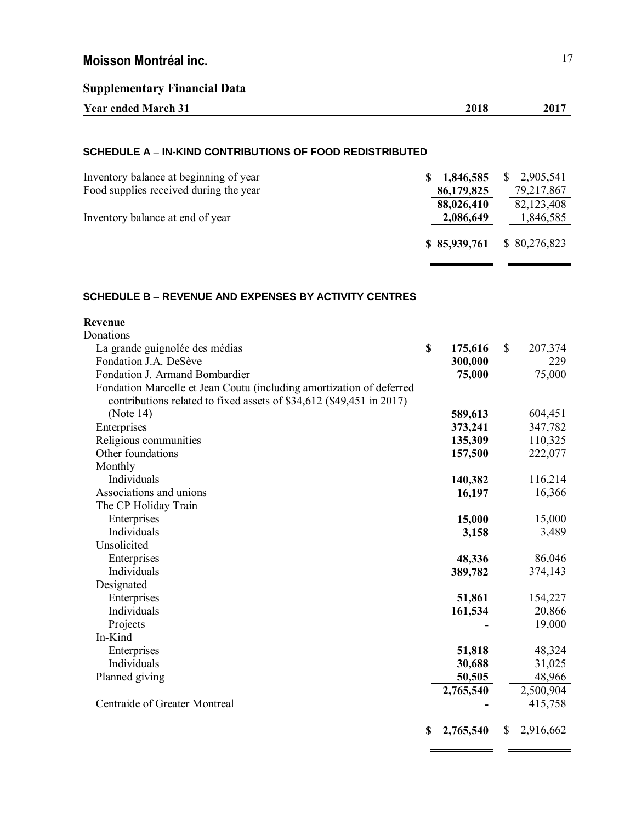| <b>Supplementary Financial Data</b>                      |                |                 |
|----------------------------------------------------------|----------------|-----------------|
| <b>Year ended March 31</b>                               | 2018           | 2017            |
|                                                          |                |                 |
| SCHEDULE A - IN-KIND CONTRIBUTIONS OF FOOD REDISTRIBUTED |                |                 |
| Inventory balance at beginning of year                   | 1,846,585<br>S | 2,905,541<br>S. |
| Food supplies received during the year                   | 86,179,825     | 79,217,867      |
|                                                          | 88,026,410     | 82,123,408      |
| Inventory balance at end of year                         | 2,086,649      | 1,846,585       |
|                                                          | \$85,939,761   | \$80,276,823    |

# SCHEDULE **B** – REVENUE AND EXPENSES BY ACTIVITY CENTRES

| Revenue                                                              |                 |                 |
|----------------------------------------------------------------------|-----------------|-----------------|
| Donations                                                            |                 |                 |
| La grande guignolée des médias                                       | \$<br>175,616   | \$<br>207,374   |
| Fondation J.A. DeSève                                                | 300,000         | 229             |
| Fondation J. Armand Bombardier                                       | 75,000          | 75,000          |
| Fondation Marcelle et Jean Coutu (including amortization of deferred |                 |                 |
| contributions related to fixed assets of \$34,612 (\$49,451 in 2017) |                 |                 |
| (Note $14$ )                                                         | 589,613         | 604,451         |
| Enterprises                                                          | 373,241         | 347,782         |
| Religious communities                                                | 135,309         | 110,325         |
| Other foundations                                                    | 157,500         | 222,077         |
| Monthly                                                              |                 |                 |
| Individuals                                                          | 140,382         | 116,214         |
| Associations and unions                                              | 16,197          | 16,366          |
| The CP Holiday Train                                                 |                 |                 |
| Enterprises                                                          | 15,000          | 15,000          |
| Individuals                                                          | 3,158           | 3,489           |
| Unsolicited                                                          |                 |                 |
| Enterprises                                                          | 48,336          | 86,046          |
| Individuals                                                          | 389,782         | 374,143         |
| Designated                                                           |                 |                 |
| Enterprises                                                          | 51,861          | 154,227         |
| Individuals                                                          | 161,534         | 20,866          |
| Projects                                                             |                 | 19,000          |
| In-Kind                                                              |                 |                 |
| Enterprises                                                          | 51,818          | 48,324          |
| Individuals                                                          | 30,688          | 31,025          |
| Planned giving                                                       | 50,505          | 48,966          |
|                                                                      | 2,765,540       | 2,500,904       |
| Centraide of Greater Montreal                                        |                 | 415,758         |
|                                                                      | \$<br>2,765,540 | \$<br>2,916,662 |

. .

÷,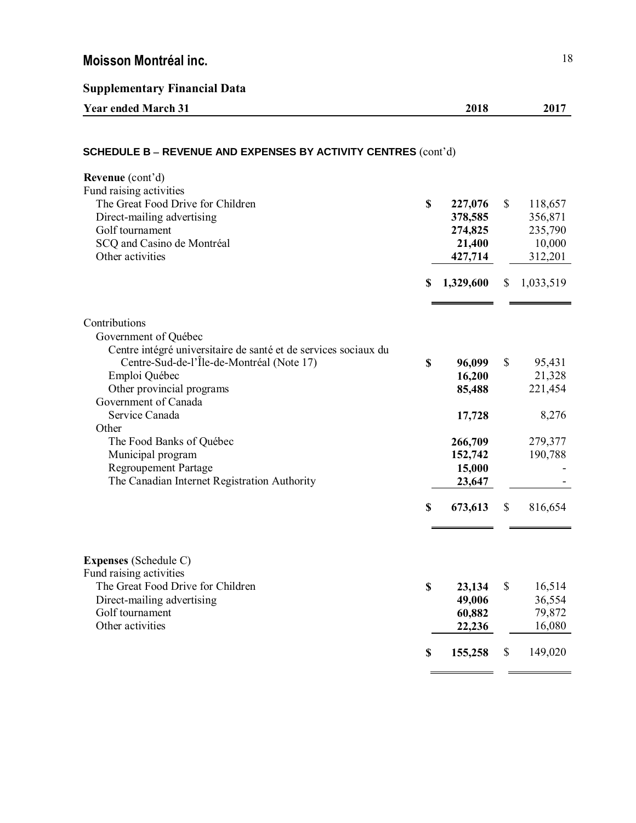**Supplementary Financial Data**

| Year ended.<br>March<br>. J I | 2018<br>____ | $201^{-}$ |
|-------------------------------|--------------|-----------|
|                               |              |           |

# **SCHEDULE B - REVENUE AND EXPENSES BY ACTIVITY CENTRES** (cont'd) **Revenue** (cont'd) Fund raising activities The Great Food Drive for Children **\$ 227,076** \$ 118,657 Direct-mailing advertising **378,585** 356,871 Golf tournament **274,825** 235,790 SCQ and Casino de Montréal **21,400** 10,000 Other activities **427,714** 312,201 **\$ 1,329,600** \$ 1,033,519 Contributions Government of Québec Centre intégré universitaire de santé et de services sociaux du Centre-Sud-de-l'Île-de-Montréal (Note 17) **\$ 96,099** \$ 95,431 Emploi Québec **16,200** 21,328 Other provincial programs **85,488** 221,454 Government of Canada Service Canada **17,728** 8,276 **Other** The Food Banks of Québec **266,709** 279,377 Municipal program **152,742** 190,788 Regroupement Partage **15,000** The Canadian Internet Registration Authority **23,647** - **\$ 673,613** \$ 816,654 **Expenses** (Schedule C) Fund raising activities The Great Food Drive for Children **\$ 23,134** \$ 16,514 Direct-mailing advertising **49,006** 36,554 Golf tournament **60,882** 79,872 Other activities **22,236** 16,080 **\$ 155,258** \$ 149,020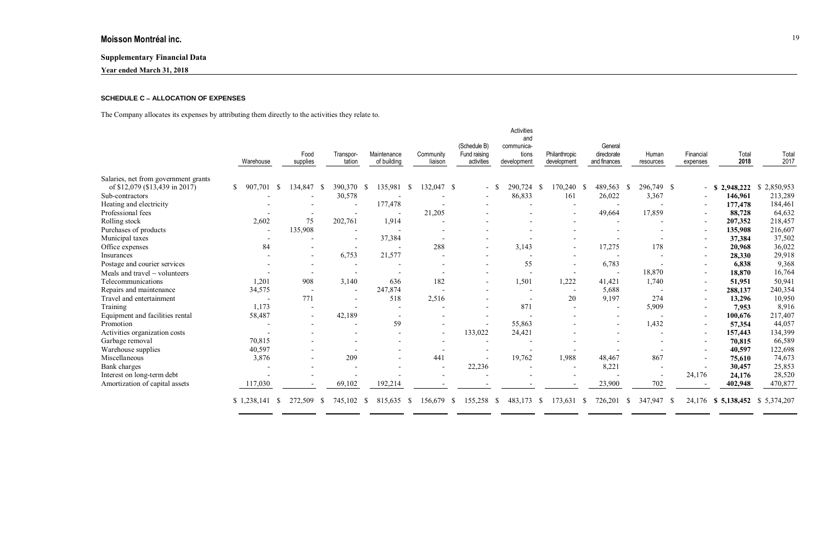# **Supplementary Financial Data**

**Year ended March 31, 2018**

# **SCHEDULE C** , **ALLOCATION OF EXPENSES**

The Company allocates its expenses by attributing them directly to the activities they relate to.

| Activities<br>and<br>(Schedule B)<br>communica-<br>Fund raising<br>tions<br>activities<br>development | Philanthropic<br>development      | General<br>directorate<br>and finances | Human<br>resources      | Financial<br>expenses   | Total<br>2018   | Total<br>2017             |
|-------------------------------------------------------------------------------------------------------|-----------------------------------|----------------------------------------|-------------------------|-------------------------|-----------------|---------------------------|
|                                                                                                       |                                   |                                        |                         |                         |                 |                           |
| 290,724                                                                                               | 170,240<br>- \$                   | 489,563<br>- \$                        | 296,749 \$<br>- \$      |                         | 2,948,222<br>-S | $\mathbb{S}$<br>2,850,953 |
| 86,833                                                                                                | 161                               | 26,022                                 | 3,367                   |                         | 146,961         | 213,289                   |
| $\overline{\phantom{0}}$                                                                              |                                   |                                        |                         |                         | 177,478         | 184,461                   |
|                                                                                                       |                                   | 49,664                                 | 17,859                  |                         | 88,728          | 64,632                    |
|                                                                                                       |                                   |                                        |                         |                         | 207,352         | 218,457                   |
|                                                                                                       |                                   |                                        |                         |                         | 135,908         | 216,607                   |
|                                                                                                       |                                   |                                        |                         |                         | 37,384          | 37,502                    |
| 3,143                                                                                                 | $\blacksquare$                    | 17,275                                 | 178                     |                         | 20,968          | 36,022                    |
|                                                                                                       |                                   |                                        |                         |                         | 28,330          | 29,918                    |
| 55                                                                                                    |                                   | 6,783                                  |                         |                         | 6,838           | 9,368                     |
| $\overline{\phantom{a}}$                                                                              |                                   | $\overline{\phantom{a}}$               | 18,870                  |                         | 18,870          | 16,764                    |
| 1,501                                                                                                 | 1,222                             | 41,421                                 | 1,740                   |                         | 51,951          | 50,941                    |
| $\overline{\phantom{a}}$                                                                              | $\overline{\phantom{a}}$          | 5,688                                  |                         | $\sim$                  | 288,137         | 240,354                   |
| $\overline{\phantom{a}}$                                                                              | 20                                | 9,197                                  | 274                     |                         | 13,296          | 10,950                    |
| 871                                                                                                   |                                   |                                        | 5,909                   |                         | 7,953           | 8,916                     |
|                                                                                                       |                                   |                                        |                         |                         | 100,676         | 217,407                   |
| 55,863                                                                                                |                                   | $\overline{\phantom{a}}$               | 1,432                   |                         | 57,354          | 44,057                    |
| 133,022<br>24,421                                                                                     |                                   |                                        |                         | $\sim$                  | 157,443         | 134,399                   |
|                                                                                                       |                                   |                                        |                         |                         | 70,815          | 66,589                    |
| $\overline{\phantom{a}}$                                                                              |                                   |                                        |                         |                         | 40,597          | 122,698                   |
| 19,762                                                                                                | 1,988                             | 48,467                                 | 867                     |                         | 75,610          | 74,673                    |
| $\overline{\phantom{0}}$                                                                              | $\overline{\phantom{a}}$          | 8,221                                  |                         |                         | 30,457          | 25,853                    |
|                                                                                                       |                                   |                                        |                         | 24,176                  | 24,176          | 28,520                    |
|                                                                                                       |                                   | 23,900                                 | 702                     |                         | 402,948         | 470,877                   |
|                                                                                                       | 22,236<br>155,258<br><sup>S</sup> | 483,173<br>173,631<br>$\mathbb{S}$     | 726,201<br>$\mathbb{S}$ | 347,947<br><sup>S</sup> | $\mathbb{S}$    | 24,176<br>\$5,138,452     |